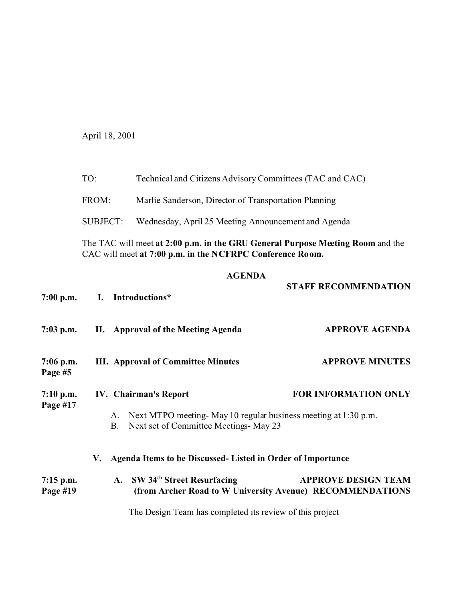April 18, 2001

FROM: Marlie Sanderson, Director of Transportation Planning

SUBJECT: Wednesday, April 25 Meeting Announcement and Agenda

The TAC will meet **at 2:00 p.m. in the GRU General Purpose Meeting Room** and the CAC will meet **at 7:00 p.m. in the NCFRPC Conference Room.**

## **AGENDA**

| $7:00$ p.m.               | I. Introductions*                                                                                                 | <b>STAFF RECOMMENDATION</b>                                                             |  |
|---------------------------|-------------------------------------------------------------------------------------------------------------------|-----------------------------------------------------------------------------------------|--|
| $7:03$ p.m.               | II. Approval of the Meeting Agenda                                                                                | <b>APPROVE AGENDA</b>                                                                   |  |
| $7:06$ p.m.<br>Page #5    | <b>III.</b> Approval of Committee Minutes                                                                         | <b>APPROVE MINUTES</b>                                                                  |  |
| $7:10$ p.m.<br>Page $#17$ | <b>IV.</b> Chairman's Report                                                                                      | <b>FOR INFORMATION ONLY</b>                                                             |  |
|                           | A. Next MTPO meeting May 10 regular business meeting at 1:30 p.m.<br>Next set of Committee Meetings- May 23<br>B. |                                                                                         |  |
|                           | Agenda Items to be Discussed- Listed in Order of Importance<br>V.                                                 |                                                                                         |  |
| $7:15$ p.m.<br>Page #19   | A. SW 34th Street Resurfacing                                                                                     | <b>APPROVE DESIGN TEAM</b><br>(from Archer Road to W University Avenue) RECOMMENDATIONS |  |

The Design Team has completed its review of this project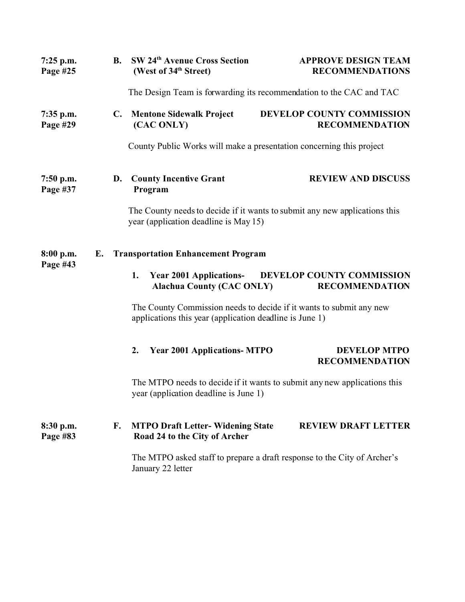| $7:25$ p.m.<br>Page #25 | <b>B.</b> | SW 24th Avenue Cross Section<br>(West of 34th Street)                                                                          | <b>APPROVE DESIGN TEAM</b><br><b>RECOMMENDATIONS</b>                       |  |
|-------------------------|-----------|--------------------------------------------------------------------------------------------------------------------------------|----------------------------------------------------------------------------|--|
|                         |           | The Design Team is forwarding its recommendation to the CAC and TAC                                                            |                                                                            |  |
| 7:35 p.m.<br>Page #29   |           | C. Mentone Sidewalk Project<br>(CAC ONLY)                                                                                      | DEVELOP COUNTY COMMISSION<br><b>RECOMMENDATION</b>                         |  |
|                         |           | County Public Works will make a presentation concerning this project                                                           |                                                                            |  |
| $7:50$ p.m.<br>Page #37 | D.        | <b>County Incentive Grant</b><br>Program                                                                                       | <b>REVIEW AND DISCUSS</b>                                                  |  |
|                         |           | year (application deadline is May 15)                                                                                          | The County needs to decide if it wants to submit any new applications this |  |
| 8:00 p.m.<br>Page #43   | Е.        | <b>Transportation Enhancement Program</b>                                                                                      |                                                                            |  |
|                         |           | <b>Year 2001 Applications-</b><br>1.<br><b>Alachua County (CAC ONLY)</b>                                                       | DEVELOP COUNTY COMMISSION<br><b>RECOMMENDATION</b>                         |  |
|                         |           | The County Commission needs to decide if it wants to submit any new<br>applications this year (application deadline is June 1) |                                                                            |  |
|                         |           | <b>Year 2001 Applications- MTPO</b><br>2.                                                                                      | <b>DEVELOP MTPO</b><br><b>RECOMMENDATION</b>                               |  |
|                         |           | year (application deadline is June 1)                                                                                          | The MTPO needs to decide if it wants to submit any new applications this   |  |
| 8:30 p.m.<br>Page #83   | F.        | <b>MTPO Draft Letter- Widening State</b><br>Road 24 to the City of Archer                                                      | <b>REVIEW DRAFT LETTER</b>                                                 |  |
|                         |           | January 22 letter                                                                                                              | The MTPO asked staff to prepare a draft response to the City of Archer's   |  |